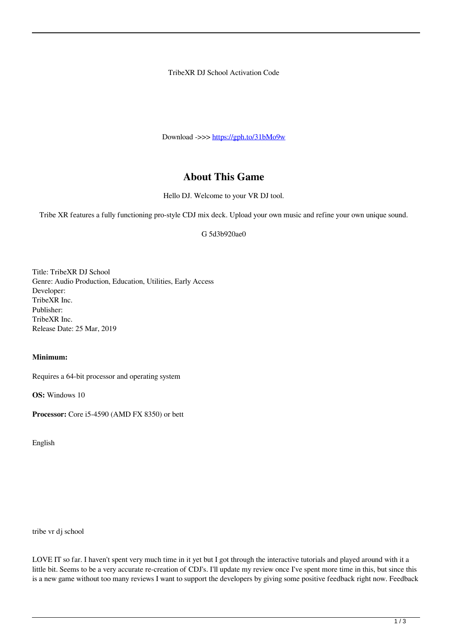TribeXR DJ School Activation Code

Download ->>> <https://gph.to/31bMo9w>

## **About This Game**

Hello DJ. Welcome to your VR DJ tool.

Tribe XR features a fully functioning pro-style CDJ mix deck. Upload your own music and refine your own unique sound.

G 5d3b920ae0

Title: TribeXR DJ School Genre: Audio Production, Education, Utilities, Early Access Developer: TribeXR Inc. Publisher: TribeXR Inc. Release Date: 25 Mar, 2019

## **Minimum:**

Requires a 64-bit processor and operating system

**OS:** Windows 10

**Processor:** Core i5-4590 (AMD FX 8350) or bett

English

tribe vr dj school

LOVE IT so far. I haven't spent very much time in it yet but I got through the interactive tutorials and played around with it a little bit. Seems to be a very accurate re-creation of CDJ's. I'll update my review once I've spent more time in this, but since this is a new game without too many reviews I want to support the developers by giving some positive feedback right now. Feedback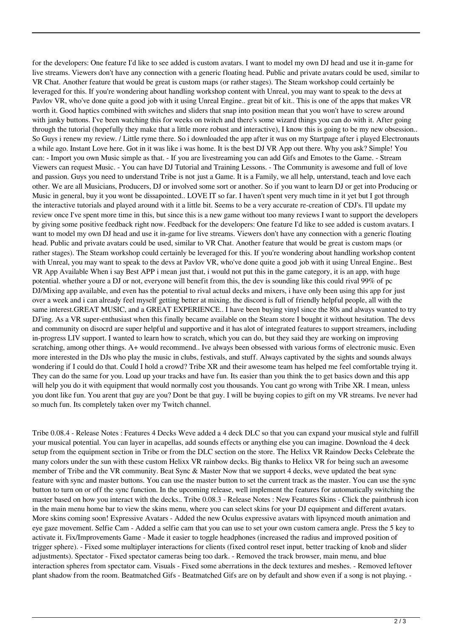for the developers: One feature I'd like to see added is custom avatars. I want to model my own DJ head and use it in-game for live streams. Viewers don't have any connection with a generic floating head. Public and private avatars could be used, similar to VR Chat. Another feature that would be great is custom maps (or rather stages). The Steam workshop could certainly be leveraged for this. If you're wondering about handling workshop content with Unreal, you may want to speak to the devs at Pavlov VR, who've done quite a good job with it using Unreal Engine.. great bit of kit.. This is one of the apps that makes VR worth it. Good haptics combined with switches and sliders that snap into position mean that you won't have to screw around with janky buttons. I've been watching this for weeks on twitch and there's some wizard things you can do with it. After going through the tutorial (hopefully they make that a little more robust and interactive), I know this is going to be my new obsession.. So Guys i renew my review. / Little ryme there. So i downloaded the app after it was on my Startpage after i played Electronauts a while ago. Instant Love here. Got in it was like i was home. It is the best DJ VR App out there. Why you ask? Simple! You can: - Import you own Music simple as that. - If you are livestreaming you can add Gifs and Emotes to the Game. - Stream Viewers can request Music. - You can have DJ Tutorial and Training Lessons. - The Community is awesome and full of love and passion. Guys you need to understand Tribe is not just a Game. It is a Family, we all help, unterstand, teach and love each other. We are all Musicians, Producers, DJ or involved some sort or another. So if you want to learn DJ or get into Producing or Music in general, buy it you wont be dissapointed.. LOVE IT so far. I haven't spent very much time in it yet but I got through the interactive tutorials and played around with it a little bit. Seems to be a very accurate re-creation of CDJ's. I'll update my review once I've spent more time in this, but since this is a new game without too many reviews I want to support the developers by giving some positive feedback right now. Feedback for the developers: One feature I'd like to see added is custom avatars. I want to model my own DJ head and use it in-game for live streams. Viewers don't have any connection with a generic floating head. Public and private avatars could be used, similar to VR Chat. Another feature that would be great is custom maps (or rather stages). The Steam workshop could certainly be leveraged for this. If you're wondering about handling workshop content with Unreal, you may want to speak to the devs at Pavlov VR, who've done quite a good job with it using Unreal Engine.. Best VR App Available When i say Best APP i mean just that, i would not put this in the game category, it is an app, with huge potential. whether youre a DJ or not, everyone will benefit from this, the dev is sounding like this could rival 99% of pc DJ/Mixing app available, and even has the potential to rival actual decks and mixers, i have only been using this app for just over a week and i can already feel myself getting better at mixing. the discord is full of friendly helpful people, all with the same interest.GREAT MUSIC, and a GREAT EXPERIENCE.. I have been buying vinyl since the 80s and always wanted to try DJ'ing. As a VR super-enthusiast when this finally became available on the Steam store I bought it without hesitation. The devs and community on disocrd are super helpful and supportive and it has alot of integrated features to support streamers, including in-progress LIV support. I wanted to learn how to scratch, which you can do, but they said they are working on improving scratching, among other things. A+ would recommend.. Ive always been obsessed with various forms of electronic music. Even more interested in the DJs who play the music in clubs, festivals, and stuff. Always captivated by the sights and sounds always wondering if I could do that. Could I hold a crowd? Tribe XR and their awesome team has helped me feel comfortable trying it. They can do the same for you. Load up your tracks and have fun. Its easier than you think the to get basics down and this app will help you do it with equipment that would normally cost you thousands. You cant go wrong with Tribe XR. I mean, unless you dont like fun. You arent that guy are you? Dont be that guy. I will be buying copies to gift on my VR streams. Ive never had so much fun. Its completely taken over my Twitch channel.

Tribe 0.08.4 - Release Notes : Features 4 Decks Weve added a 4 deck DLC so that you can expand your musical style and fulfill your musical potential. You can layer in acapellas, add sounds effects or anything else you can imagine. Download the 4 deck setup from the equipment section in Tribe or from the DLC section on the store. The Helixx VR Raindow Decks Celebrate the many colors under the sun with these custom Helixx VR rainbow decks. Big thanks to Helixx VR for being such an awesome member of Tribe and the VR community. Beat Sync & Master Now that we support 4 decks, weve updated the beat sync feature with sync and master buttons. You can use the master button to set the current track as the master. You can use the sync button to turn on or off the sync function. In the upcoming release, well implement the features for automatically switching the master based on how you interact with the decks.. Tribe 0.08.3 - Release Notes : New Features Skins - Click the paintbrush icon in the main menu home bar to view the skins menu, where you can select skins for your DJ equipment and different avatars. More skins coming soon! Expressive Avatars - Added the new Oculus expressive avatars with lipsynced mouth animation and eye gaze movement. Selfie Cam - Added a selfie cam that you can use to set your own custom camera angle. Press the 5 key to activate it. Fix/Improvements Game - Made it easier to toggle headphones (increased the radius and improved position of trigger sphere). - Fixed some multiplayer interactions for clients (fixed control reset input, better tracking of knob and slider adjustments). Spectator - Fixed spectator cameras being too dark. - Removed the track browser, main menu, and blue interaction spheres from spectator cam. Visuals - Fixed some aberrations in the deck textures and meshes. - Removed leftover plant shadow from the room. Beatmatched Gifs - Beatmatched Gifs are on by default and show even if a song is not playing. -